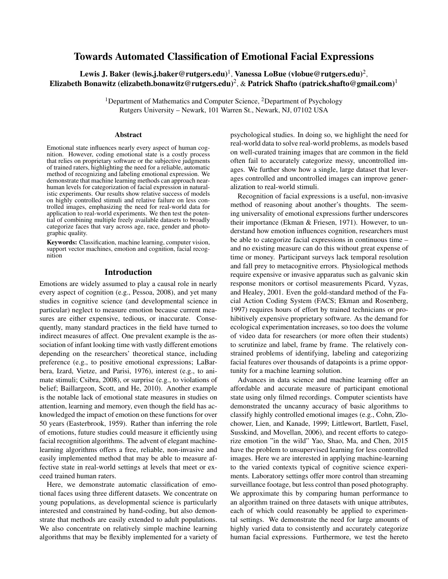# Towards Automated Classification of Emotional Facial Expressions

Lewis J. Baker (lewis.j.baker@rutgers.edu) $^1$ , Vanessa LoBue (vlobue@rutgers.edu) $^2$ , Elizabeth Bonawitz (elizabeth.bonawitz@rutgers.edu)<sup>2</sup>, & Patrick Shafto (patrick.shafto@gmail.com)<sup>1</sup>

> <sup>1</sup>Department of Mathematics and Computer Science,  ${}^{2}$ Department of Psychology Rutgers University – Newark, 101 Warren St., Newark, NJ, 07102 USA

#### Abstract

Emotional state influences nearly every aspect of human cognition. However, coding emotional state is a costly process that relies on proprietary software or the subjective judgments of trained raters, highlighting the need for a reliable, automatic method of recognizing and labeling emotional expression. We demonstrate that machine learning methods can approach nearhuman levels for categorization of facial expression in naturalistic experiments. Our results show relative success of models on highly controlled stimuli and relative failure on less controlled images, emphasizing the need for real-world data for application to real-world experiments. We then test the potential of combining multiple freely available datasets to broadly categorize faces that vary across age, race, gender and photographic quality.

Keywords: Classification, machine learning, computer vision, support vector machines, emotion and cognition, facial recognition

### Introduction

Emotions are widely assumed to play a causal role in nearly every aspect of cognition (e.g., Pessoa, 2008), and yet many studies in cognitive science (and developmental science in particular) neglect to measure emotion because current measures are either expensive, tedious, or inaccurate. Consequently, many standard practices in the field have turned to indirect measures of affect. One prevalent example is the association of infant looking time with vastly different emotions depending on the researchers' theoretical stance, including preference (e.g., to positive emotional expressions; LaBarbera, Izard, Vietze, and Parisi, 1976), interest (e.g., to animate stimuli; Csibra, 2008), or surprise (e.g., to violations of belief; Baillargeon, Scott, and He, 2010). Another example is the notable lack of emotional state measures in studies on attention, learning and memory, even though the field has acknowledged the impact of emotion on these functions for over 50 years (Easterbrook, 1959). Rather than inferring the role of emotions, future studies could measure it efficiently using facial recognition algorithms. The advent of elegant machinelearning algorithms offers a free, reliable, non-invasive and easily implemented method that may be able to measure affective state in real-world settings at levels that meet or exceed trained human raters.

Here, we demonstrate automatic classification of emotional faces using three different datasets. We concentrate on young populations, as developmental science is particularly interested and constrained by hand-coding, but also demonstrate that methods are easily extended to adult populations. We also concentrate on relatively simple machine learning algorithms that may be flexibly implemented for a variety of psychological studies. In doing so, we highlight the need for real-world data to solve real-world problems, as models based on well-curated training images that are common in the field often fail to accurately categorize messy, uncontrolled images. We further show how a single, large dataset that leverages controlled and uncontrolled images can improve generalization to real-world stimuli.

Recognition of facial expressions is a useful, non-invasive method of reasoning about another's thoughts. The seeming universality of emotional expressions further underscores their importance (Ekman & Friesen, 1971). However, to understand how emotion influences cognition, researchers must be able to categorize facial expressions in continuous time – and no existing measure can do this without great expense of time or money. Participant surveys lack temporal resolution and fall prey to metacognitive errors. Physiological methods require expensive or invasive apparatus such as galvanic skin response monitors or cortisol measurements Picard, Vyzas, and Healey, 2001. Even the gold-standard method of the Facial Action Coding System (FACS; Ekman and Rosenberg, 1997) requires hours of effort by trained technicians or prohibitively expensive proprietary software. As the demand for ecological experimentation increases, so too does the volume of video data for researchers (or more often their students) to scrutinize and label, frame by frame. The relatively constrained problems of identifying, labeling and categorizing facial features over thousands of datapoints is a prime opportunity for a machine learning solution.

Advances in data science and machine learning offer an affordable and accurate measure of participant emotional state using only filmed recordings. Computer scientists have demonstrated the uncanny accuracy of basic algorithms to classify highly controlled emotional images (e.g., Cohn, Zlochower, Lien, and Kanade, 1999; Littlewort, Bartlett, Fasel, Susskind, and Movellan, 2006), and recent efforts to categorize emotion "in the wild" Yao, Shao, Ma, and Chen, 2015 have the problem to unsupervised learning for less controlled images. Here we are interested in applying machine-learning to the varied contexts typical of cognitive science experiments. Laboratory settings offer more control than streaming surveillance footage, but less control than posed photography. We approximate this by comparing human performance to an algorithm trained on three datasets with unique attributes, each of which could reasonably be applied to experimental settings. We demonstrate the need for large amounts of highly varied data to consistently and accurately categorize human facial expressions. Furthermore, we test the hereto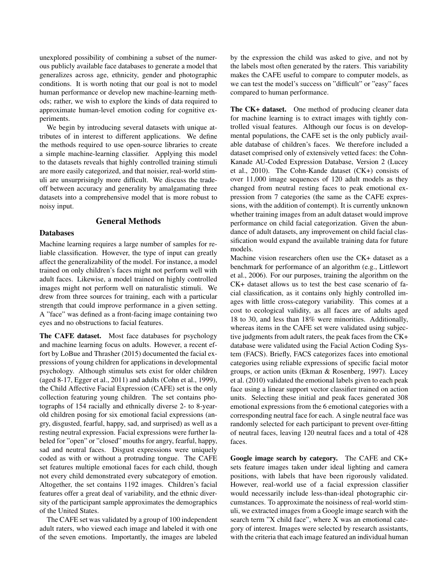unexplored possibility of combining a subset of the numerous publicly available face databases to generate a model that generalizes across age, ethnicity, gender and photographic conditions. It is worth noting that our goal is not to model human performance or develop new machine-learning methods; rather, we wish to explore the kinds of data required to approximate human-level emotion coding for cognitive experiments.

We begin by introducing several datasets with unique attributes of in interest to different applications. We define the methods required to use open-source libraries to create a simple machine-learning classifier. Applying this model to the datasets reveals that highly controlled training stimuli are more easily categorized, and that noisier, real-world stimuli are unsurprisingly more difficult. We discuss the tradeoff between accuracy and generality by amalgamating three datasets into a comprehensive model that is more robust to noisy input.

## General Methods

### Databases

Machine learning requires a large number of samples for reliable classification. However, the type of input can greatly affect the generalizability of the model. For instance, a model trained on only children's faces might not perform well with adult faces. Likewise, a model trained on highly controlled images might not perform well on naturalistic stimuli. We drew from three sources for training, each with a particular strength that could improve performance in a given setting. A "face" was defined as a front-facing image containing two eyes and no obstructions to facial features.

The CAFE dataset. Most face databases for psychology and machine learning focus on adults. However, a recent effort by LoBue and Thrasher (2015) documented the facial expressions of young children for applications in developmental psychology. Although stimulus sets exist for older children (aged 8-17, Egger et al., 2011) and adults (Cohn et al., 1999), the Child Affective Facial Expression (CAFE) set is the only collection featuring young children. The set contains photographs of 154 racially and ethnically diverse 2- to 8-yearold children posing for six emotional facial expressions (angry, disgusted, fearful, happy, sad, and surprised) as well as a resting neutral expression. Facial expressions were further labeled for "open" or "closed" mouths for angry, fearful, happy, sad and neutral faces. Disgust expressions were uniquely coded as with or without a protruding tongue. The CAFE set features multiple emotional faces for each child, though not every child demonstrated every subcategory of emotion. Altogether, the set contains 1192 images. Children's facial features offer a great deal of variability, and the ethnic diversity of the participant sample approximates the demographics of the United States.

The CAFE set was validated by a group of 100 independent adult raters, who viewed each image and labeled it with one of the seven emotions. Importantly, the images are labeled by the expression the child was asked to give, and not by the labels most often generated by the raters. This variability makes the CAFE useful to compare to computer models, as we can test the model's success on "difficult" or "easy" faces compared to human performance.

The CK+ dataset. One method of producing cleaner data for machine learning is to extract images with tightly controlled visual features. Although our focus is on developmental populations, the CAFE set is the only publicly available database of children's faces. We therefore included a dataset comprised only of extensively vetted faces: the Cohn-Kanade AU-Coded Expression Database, Version 2 (Lucey et al., 2010). The Cohn-Kande dataset (CK+) consists of over 11,000 image sequences of 120 adult models as they changed from neutral resting faces to peak emotional expression from 7 categories (the same as the CAFE expressions, with the addition of contempt). It is currently unknown whether training images from an adult dataset would improve performance on child facial categorization. Given the abundance of adult datasets, any improvement on child facial classification would expand the available training data for future models.

Machine vision researchers often use the CK+ dataset as a benchmark for performance of an algorithm (e.g., Littlewort et al., 2006). For our purposes, training the algorithm on the CK+ dataset allows us to test the best case scenario of facial classification, as it contains only highly controlled images with little cross-category variability. This comes at a cost to ecological validity, as all faces are of adults aged 18 to 30, and less than 18% were minorities. Additionally, whereas items in the CAFE set were validated using subjective judgments from adult raters, the peak faces from the CK+ database were validated using the Facial Action Coding System (FACS). Briefly, FACS categorizes faces into emotional categories using reliable expressions of specific facial motor groups, or action units (Ekman & Rosenberg, 1997). Lucey et al. (2010) validated the emotional labels given to each peak face using a linear support vector classifier trained on action units. Selecting these initial and peak faces generated 308 emotional expressions from the 6 emotional categories with a corresponding neutral face for each. A single neutral face was randomly selected for each participant to prevent over-fitting of neutral faces, leaving 120 neutral faces and a total of 428 faces.

Google image search by category. The CAFE and CK+ sets feature images taken under ideal lighting and camera positions, with labels that have been rigorously validated. However, real-world use of a facial expression classifier would necessarily include less-than-ideal photographic circumstances. To approximate the noisiness of real-world stimuli, we extracted images from a Google image search with the search term "X child face", where X was an emotional category of interest. Images were selected by research assistants, with the criteria that each image featured an individual human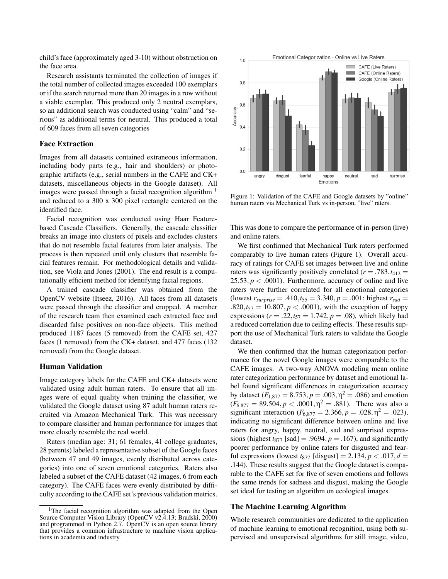child's face (approximately aged 3-10) without obstruction on the face area.

Research assistants terminated the collection of images if the total number of collected images exceeded 100 exemplars or if the search returned more than 20 images in a row without a viable exemplar. This produced only 2 neutral exemplars, so an additional search was conducted using "calm" and "serious" as additional terms for neutral. This produced a total of 609 faces from all seven categories

#### Face Extraction

Images from all datasets contained extraneous information, including body parts (e.g., hair and shoulders) or photographic artifacts (e.g., serial numbers in the CAFE and CK+ datasets, miscellaneous objects in the Google dataset). All images were passed through a facial recognition algorithm <sup>1</sup> and reduced to a 300 x 300 pixel rectangle centered on the identified face.

Facial recognition was conducted using Haar Featurebased Cascade Classifiers. Generally, the cascade classifier breaks an image into clusters of pixels and excludes clusters that do not resemble facial features from later analysis. The process is then repeated until only clusters that resemble facial features remain. For methodological details and validation, see Viola and Jones (2001). The end result is a computationally efficient method for identifying facial regions.

A trained cascade classifier was obtained from the OpenCV website (Itseez, 2016). All faces from all datasets were passed through the classifier and cropped. A member of the research team then examined each extracted face and discarded false positives on non-face objects. This method produced 1187 faces (5 removed) from the CAFE set, 427 faces (1 removed) from the CK+ dataset, and 477 faces (132 removed) from the Google dataset.

#### Human Validation

Image category labels for the CAFE and CK+ datasets were validated using adult human raters. To ensure that all images were of equal quality when training the classifier, we validated the Google dataset using 87 adult human raters recruited via Amazon Mechanical Turk. This was necessary to compare classifier and human performance for images that more closely resemble the real world.

Raters (median age: 31; 61 females, 41 college graduates, 28 parents) labeled a representative subset of the Google faces (between 47 and 49 images, evenly distributed across categories) into one of seven emotional categories. Raters also labeled a subset of the CAFE dataset (42 images, 6 from each category). The CAFE faces were evenly distributed by difficulty according to the CAFE set's previous validation metrics.



Figure 1: Validation of the CAFE and Google datasets by "online" human raters via Mechanical Turk vs in-person, "live" raters.

This was done to compare the performance of in-person (live) and online raters.

We first confirmed that Mechanical Turk raters performed comparably to live human raters (Figure 1). Overall accuracy of ratings for CAFE set images between live and online raters was significantly positively correlated ( $r = .783$ ,  $t_{412} =$  $25.53, p < .0001$ ). Furthermore, accuracy of online and live raters were further correlated for all emotional categories (lowest  $r_{surprise} = .410, t_{55} = 3.340, p = .001$ ; highest  $r_{sad} =$  $.820, t_{57} = 10.807, p < .0001$ , with the exception of happy expressions ( $r = .22$ ,  $t_{57} = 1.742$ ,  $p = .08$ ), which likely had a reduced correlation due to ceiling effects. These results support the use of Mechanical Turk raters to validate the Google dataset.

We then confirmed that the human categorization performance for the novel Google images were comparable to the CAFE images. A two-way ANOVA modeling mean online rater categorization performance by dataset and emotional label found significant differences in categorization accuracy by dataset ( $F_{1,877} = 8.753, p = .003, \eta^2 = .086$ ) and emotion  $(F_{6,877} = 89.504, p < .0001, \eta^2 = .881)$ . There was also a significant interaction  $(F_{6,877} = 2.366, p = .028, \eta^2 = .023)$ , indicating no significant difference between online and live raters for angry, happy, neutral, sad and surprised expressions (highest  $t_{877}$  [sad] = .9694,  $p = .167$ ), and significantly poorer performance by online raters for disgusted and fearful expressions (lowest  $t_{877}$  [disgust] = 2.134,  $p < .017$ ,  $d =$ .144). These results suggest that the Google dataset is comparable to the CAFE set for five of seven emotions and follows the same trends for sadness and disgust, making the Google set ideal for testing an algorithm on ecological images.

#### The Machine Learning Algorithm

Whole research communities are dedicated to the application of machine learning to emotional recognition, using both supervised and unsupervised algorithms for still image, video,

<sup>&</sup>lt;sup>1</sup>The facial recognition algorithm was adapted from the Open Source Computer Vision Library (OpenCV v2.4.13; Bradski, 2000) and programmed in Python 2.7. OpenCV is an open source library that provides a common infrastructure to machine vision applications in academia and industry.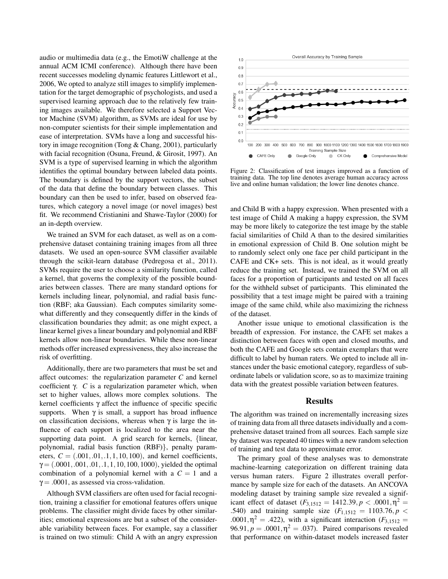audio or multimedia data (e.g., the EmotiW challenge at the annual ACM ICMI conference). Although there have been recent successes modeling dynamic features Littlewort et al., 2006, We opted to analyze still images to simplify implementation for the target demographic of psychologists, and used a supervised learning approach due to the relatively few training images available. We therefore selected a Support Vector Machine (SVM) algorithm, as SVMs are ideal for use by non-computer scientists for their simple implementation and ease of interpretation. SVMs have a long and successful history in image recognition (Tong & Chang, 2001), particularly with facial recognition (Osuna, Freund, & Girosit, 1997). An SVM is a type of supervised learning in which the algorithm identifies the optimal boundary between labeled data points. The boundary is defined by the support vectors, the subset of the data that define the boundary between classes. This boundary can then be used to infer, based on observed features, which category a novel image (or novel images) best fit. We recommend Cristianini and Shawe-Taylor (2000) for an in-depth overview.

We trained an SVM for each dataset, as well as on a comprehensive dataset containing training images from all three datasets. We used an open-source SVM classifier available through the scikit-learn database (Pedregosa et al., 2011). SVMs require the user to choose a similarity function, called a kernel, that governs the complexity of the possible boundaries between classes. There are many standard options for kernels including linear, polynomial, and radial basis function (RBF; aka Gaussian). Each computes similarity somewhat differently and they consequently differ in the kinds of classification boundaries they admit; as one might expect, a linear kernel gives a linear boundary and polynomial and RBF kernels allow non-linear boundaries. While these non-linear methods offer increased expressiveness, they also increase the risk of overfitting.

Additionally, there are two parameters that must be set and affect outcomes: the regularization parameter *C* and kernel coefficient γ. *C* is a regularization parameter which, when set to higher values, allows more complex solutions. The kernel coefficients γ affect the influence of specific specific supports. When  $\gamma$  is small, a support has broad influence on classification decisions, whereas when  $\gamma$  is large the influence of each support is localized to the area near the supporting data point. A grid search for kernels, {linear, polynomial, radial basis function (RBF)}, penalty parameters,  $C = (.001, .01, .1, 1, 10, 100)$ , and kernel coefficients,  $\gamma = (.0001, .001, .01, .1, 1, 10, 100, 1000)$ , yielded the optimal combination of a polynomial kernel with a  $C = 1$  and a  $\gamma = .0001$ , as assessed via cross-validation.

Although SVM classifiers are often used for facial recognition, training a classifier for emotional features offers unique problems. The classifier might divide faces by other similarities; emotional expressions are but a subset of the considerable variability between faces. For example, say a classifier is trained on two stimuli: Child A with an angry expression



Figure 2: Classification of test images improved as a function of training data. The top line denotes average human accuracy across live and online human validation; the lower line denotes chance.

and Child B with a happy expression. When presented with a test image of Child A making a happy expression, the SVM may be more likely to categorize the test image by the stable facial similarities of Child A than to the desired similarities in emotional expression of Child B. One solution might be to randomly select only one face per child participant in the CAFE and CK+ sets. This is not ideal, as it would greatly reduce the training set. Instead, we trained the SVM on all faces for a proportion of participants and tested on all faces for the withheld subset of participants. This eliminated the possibility that a test image might be paired with a training image of the same child, while also maximizing the richness of the dataset.

Another issue unique to emotional classification is the breadth of expression. For instance, the CAFE set makes a distinction between faces with open and closed mouths, and both the CAFE and Google sets contain exemplars that were difficult to label by human raters. We opted to include all instances under the basic emotional category, regardless of subordinate labels or validation score, so as to maximize training data with the greatest possible variation between features.

### Results

The algorithm was trained on incrementally increasing sizes of training data from all three datasets individually and a comprehensive dataset trained from all sources. Each sample size by dataset was repeated 40 times with a new random selection of training and test data to approximate error.

The primary goal of these analyses was to demonstrate machine-learning categorization on different training data versus human raters. Figure 2 illustrates overall performance by sample size for each of the datasets. An ANCOVA modeling dataset by training sample size revealed a significant effect of dataset  $(F_{3,1512} = 1412.39, p < .0001, \eta^2 =$ .540) and training sample size  $(F_{1,1512} = 1103.76, p <$ .0001,  $η<sup>2</sup> = .422$ ), with a significant interaction ( $F<sub>3,1512</sub> =$ 96.91,  $p = .0001, \eta^2 = .037$ ). Paired comparisons revealed that performance on within-dataset models increased faster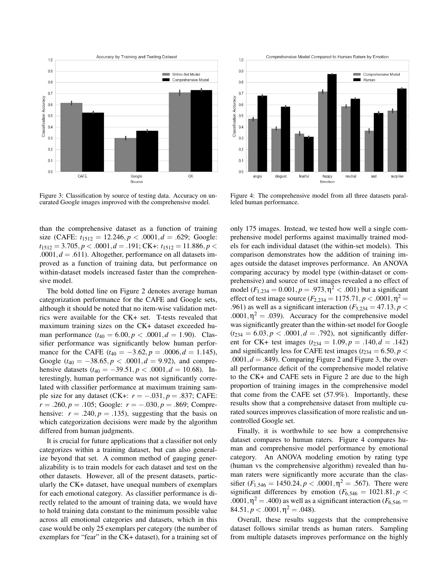

Figure 3: Classification by source of testing data. Accuracy on uncurated Google images improved with the comprehensive model.

than the comprehensive dataset as a function of training size (CAFE:  $t_{1512} = 12.246$ ,  $p < .0001$ ,  $d = .629$ ; Google:  $t_{1512} = 3.705, p < .0001, d = .191$ ; CK+:  $t_{1512} = 11.886, p <$ .0001, $d = .611$ ). Altogether, performance on all datasets improved as a function of training data, but performance on within-dataset models increased faster than the comprehensive model.

The bold dotted line on Figure 2 denotes average human categorization performance for the CAFE and Google sets, although it should be noted that no item-wise validation metrics were available for the CK+ set. T-tests revealed that maximum training sizes on the CK+ dataset exceeded human performance  $(t_{40} = 6.00, p < .0001, d = 1.90)$ . Classifier performance was significantly below human performance for the CAFE  $(t_{40} = -3.62, p = .0006, d = 1.145)$ , Google ( $t_{40} = -38.65, p < .0001, d = 9.92$ ), and comprehensive datasets  $(t_{40} = -39.51, p < .0001, d = 10.68)$ . Interestingly, human performance was not significantly correlated with classifier performance at maximum training sample size for any dataset (CK+:  $r = -.031, p = .837$ ; CAFE: *r* = .260, *p* = .105; Google: *r* = −.030, *p* = .869; Comprehensive:  $r = .240$ ,  $p = .135$ ), suggesting that the basis on which categorization decisions were made by the algorithm differed from human judgments.

It is crucial for future applications that a classifier not only categorizes within a training dataset, but can also generalize beyond that set. A common method of gauging generalizability is to train models for each dataset and test on the other datasets. However, all of the present datasets, particularly the CK+ dataset, have unequal numbers of exemplars for each emotional category. As classifier performance is directly related to the amount of training data, we would have to hold training data constant to the minimum possible value across all emotional categories and datasets, which in this case would be only 25 exemplars per category (the number of exemplars for "fear" in the CK+ dataset), for a training set of



Figure 4: The comprehensive model from all three datasets paralleled human performance.

only 175 images. Instead, we tested how well a single comprehensive model performs against maximally trained models for each individual dataset (the within-set models). This comparison demonstrates how the addition of training images outside the dataset improves performance. An ANOVA comparing accuracy by model type (within-dataset or comprehensive) and source of test images revealed a no effect of model  $(F_{1,234} = 0.001, p = .973, \eta^2 < .001)$  but a significant effect of test image source  $(F_{2,234} = 1175.71, p < .0001, \eta^2 =$ .961) as well as a significant interaction  $(F_{3,234} = 47.13, p <$ .0001, $\eta^2 = .039$ ). Accuracy for the comprehensive model was significantly greater than the within-set model for Google  $(t_{234} = 6.03, p < .0001, d = .792)$ , not significantly different for CK+ test images  $(t_{234} = 1.09, p = .140, d = .142)$ and significantly less for CAFE test images ( $t_{234} = 6.50, p <$  $.0001, d = .849$ . Comparing Figure 2 and Figure 3, the overall performance deficit of the comprehensive model relative to the CK+ and CAFE sets in Figure 2 are due to the high proportion of training images in the comprehensive model that come from the CAFE set (57.9%). Importantly, these results show that a comprehensive dataset from multiple curated sources improves classification of more realistic and uncontrolled Google set.

Finally, it is worthwhile to see how a comprehensive dataset compares to human raters. Figure 4 compares human and comprehensive model performance by emotional category. An ANOVA modeling emotion by rating type (human vs the comprehensive algorithm) revealed than human raters were significantly more accurate than the classifier  $(F_{1,546} = 1450.24, p < .0001, \eta^2 = .567)$ . There were significant differences by emotion  $(F_{6,546} = 1021.81, p <$ .0001,  $\eta^2$  = .400) as well as a significant interaction ( $F_{6,546}$  =  $84.51, p < .0001, \eta^2 = .048$ .

Overall, these results suggests that the comprehensive dataset follows similar trends as human raters. Sampling from multiple datasets improves performance on the highly